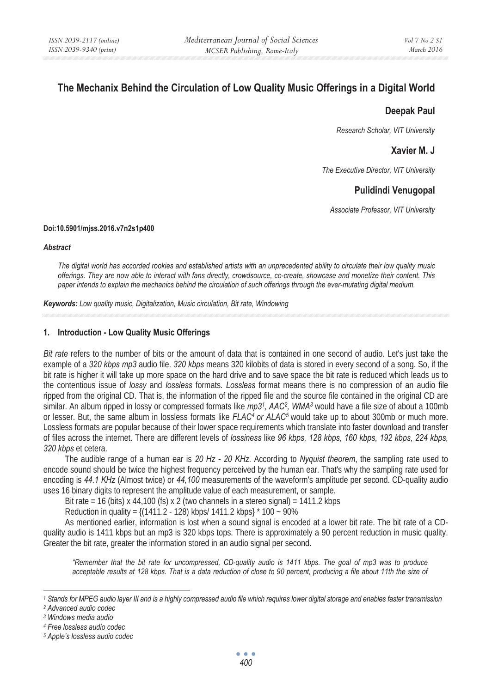# **The Mechanix Behind the Circulation of Low Quality Music Offerings in a Digital World**

### **Deepak Paul**

*Research Scholar, VIT University* 

## **Xavier M. J**

*The Executive Director, VIT University* 

# **Pulidindi Venugopal**

*Associate Professor, VIT University* 

#### **Doi:10.5901/mjss.2016.v7n2s1p400**

#### *Abstract*

*The digital world has accorded rookies and established artists with an unprecedented ability to circulate their low quality music offerings. They are now able to interact with fans directly, crowdsource, co-create, showcase and monetize their content. This paper intends to explain the mechanics behind the circulation of such offerings through the ever-mutating digital medium.* 

*Keywords: Low quality music, Digitalization, Music circulation, Bit rate, Windowing*

### **1. Introduction - Low Quality Music Offerings**

*Bit rate* refers to the number of bits or the amount of data that is contained in one second of audio. Let's just take the example of a *320 kbps mp3* audio file. *320 kbps* means 320 kilobits of data is stored in every second of a song. So, if the bit rate is higher it will take up more space on the hard drive and to save space the bit rate is reduced which leads us to the contentious issue of *lossy* and *lossless* formats. *Lossless* format means there is no compression of an audio file ripped from the original CD. That is, the information of the ripped file and the source file contained in the original CD are similar. An album ripped in lossy or compressed formats like *mp31, AAC2, WMA3* would have a file size of about a 100mb or lesser. But, the same album in lossless formats like *FLAC<sup>4</sup> or ALAC<sup>5</sup> would take up to about 300mb or much more.* Lossless formats are popular because of their lower space requirements which translate into faster download and transfer of files across the internet. There are different levels of *lossiness* like *96 kbps, 128 kbps, 160 kbps, 192 kbps, 224 kbps, 320 kbps* et cetera.

The audible range of a human ear is *20 Hz - 20 KHz*. According to *Nyquist theorem*, the sampling rate used to encode sound should be twice the highest frequency perceived by the human ear. That's why the sampling rate used for encoding is *44.1 KHz* (Almost twice) or *44,100* measurements of the waveform's amplitude per second. CD-quality audio uses 16 binary digits to represent the amplitude value of each measurement, or sample.

Bit rate = 16 (bits) x 44,100 (fs) x 2 (two channels in a stereo signal) = 1411.2 kbps

Reduction in quality =  $\{(1411.2 - 128)$  kbps/ 1411.2 kbps}  $*$  100  $\sim$  90%

As mentioned earlier, information is lost when a sound signal is encoded at a lower bit rate. The bit rate of a CDquality audio is 1411 kbps but an mp3 is 320 kbps tops. There is approximately a 90 percent reduction in music quality. Greater the bit rate, greater the information stored in an audio signal per second.

*"Remember that the bit rate for uncompressed, CD-quality audio is 1411 kbps. The goal of mp3 was to produce acceptable results at 128 kbps. That is a data reduction of close to 90 percent, producing a file about 11th the size of* 

*<sup>1</sup> Stands for MPEG audio layer III and is a highly compressed audio file which requires lower digital storage and enables faster transmission 2 Advanced audio codec* 

*<sup>3</sup> Windows media audio* 

*<sup>4</sup> Free lossless audio codec* 

*<sup>5</sup> Apple's lossless audio codec*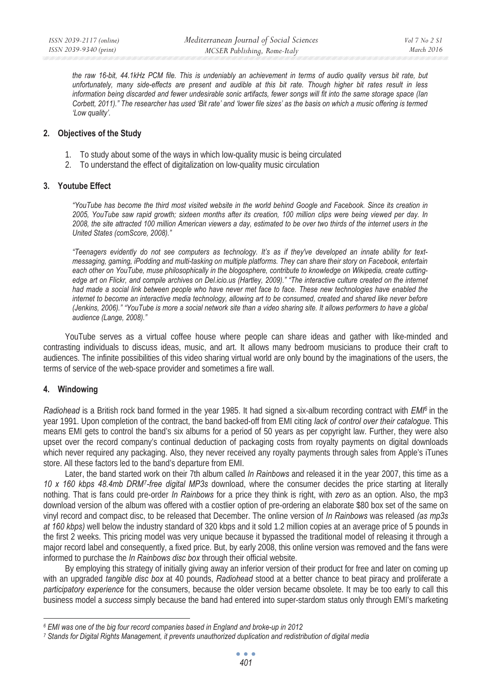*the raw 16-bit, 44.1kHz PCM file. This is undeniably an achievement in terms of audio quality versus bit rate, but unfortunately, many side-effects are present and audible at this bit rate. Though higher bit rates result in less information being discarded and fewer undesirable sonic artifacts, fewer songs will fit into the same storage space (Ian Corbett, 2011)." The researcher has used 'Bit rate' and 'lower file sizes' as the basis on which a music offering is termed 'Low quality'.* 

#### **2. Objectives of the Study**

- 1. To study about some of the ways in which low-quality music is being circulated
- 2. To understand the effect of digitalization on low-quality music circulation

#### **3. Youtube Effect**

*"YouTube has become the third most visited website in the world behind Google and Facebook. Since its creation in 2005, YouTube saw rapid growth; sixteen months after its creation, 100 million clips were being viewed per day. In 2008, the site attracted 100 million American viewers a day, estimated to be over two thirds of the internet users in the United States (comScore, 2008)."* 

*"Teenagers evidently do not see computers as technology. It's as if they've developed an innate ability for textmessaging, gaming, iPodding and multi-tasking on multiple platforms. They can share their story on Facebook, entertain each other on YouTube, muse philosophically in the blogosphere, contribute to knowledge on Wikipedia, create cuttingedge art on Flickr, and compile archives on Del.icio.us (Hartley, 2009)." "The interactive culture created on the internet had made a social link between people who have never met face to face. These new technologies have enabled the internet to become an interactive media technology, allowing art to be consumed, created and shared like never before (Jenkins, 2006)." "YouTube is more a social network site than a video sharing site. It allows performers to have a global audience (Lange, 2008)."* 

YouTube serves as a virtual coffee house where people can share ideas and gather with like-minded and contrasting individuals to discuss ideas, music, and art. It allows many bedroom musicians to produce their craft to audiences. The infinite possibilities of this video sharing virtual world are only bound by the imaginations of the users, the terms of service of the web-space provider and sometimes a fire wall.

### **4. Windowing**

*Radiohead* is a British rock band formed in the year 1985. It had signed a six-album recording contract with *EMI6* in the year 1991. Upon completion of the contract, the band backed-off from EMI citing *lack of control over their catalogue*. This means EMI gets to control the band's six albums for a period of 50 years as per copyright law. Further, they were also upset over the record company's continual deduction of packaging costs from royalty payments on digital downloads which never required any packaging. Also, they never received any royalty payments through sales from Apple's iTunes store. All these factors led to the band's departure from EMI.

Later, the band started work on their 7th album called *In Rainbows* and released it in the year 2007, this time as a *10 x 160 kbps 48.4mb DRM7-free digital MP3s* download, where the consumer decides the price starting at literally nothing. That is fans could pre-order *In Rainbows* for a price they think is right, with *zero* as an option. Also, the mp3 download version of the album was offered with a costlier option of pre-ordering an elaborate \$80 box set of the same on vinyl record and compact disc, to be released that December. The online version of *In Rainbows* was released *(as mp3s at 160 kbps)* well below the industry standard of 320 kbps and it sold 1.2 million copies at an average price of 5 pounds in the first 2 weeks. This pricing model was very unique because it bypassed the traditional model of releasing it through a major record label and consequently, a fixed price. But, by early 2008, this online version was removed and the fans were informed to purchase the *In Rainbows disc box* through their official website.

By employing this strategy of initially giving away an inferior version of their product for free and later on coming up with an upgraded *tangible disc box* at 40 pounds, *Radiohead* stood at a better chance to beat piracy and proliferate a *participatory experience* for the consumers, because the older version became obsolete. It may be too early to call this business model a *success* simply because the band had entered into super-stardom status only through EMI's marketing

*<sup>6</sup> EMI was one of the big four record companies based in England and broke-up in 2012* 

*<sup>7</sup> Stands for Digital Rights Management, it prevents unauthorized duplication and redistribution of digital media*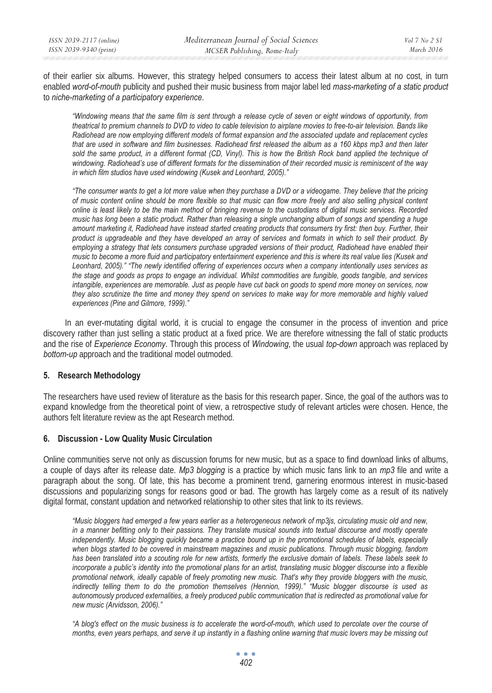of their earlier six albums. However, this strategy helped consumers to access their latest album at no cost, in turn enabled *word-of-mouth* publicity and pushed their music business from major label led *mass-marketing of a static product* to *niche-marketing of a participatory experience*.

*"Windowing means that the same film is sent through a release cycle of seven or eight windows of opportunity, from theatrical to premium channels to DVD to video to cable television to airplane movies to free-to-air television. Bands like Radiohead are now employing different models of format expansion and the associated update and replacement cycles that are used in software and film businesses. Radiohead first released the album as a 160 kbps mp3 and then later*  sold the same product, in a different format (CD, Vinyl). This is how the British Rock band applied the technique of *windowing. Radiohead's use of different formats for the dissemination of their recorded music is reminiscent of the way in which film studios have used windowing (Kusek and Leonhard, 2005)."* 

*"The consumer wants to get a lot more value when they purchase a DVD or a videogame. They believe that the pricing of music content online should be more flexible so that music can flow more freely and also selling physical content online is least likely to be the main method of bringing revenue to the custodians of digital music services. Recorded music has long been a static product. Rather than releasing a single unchanging album of songs and spending a huge amount marketing it, Radiohead have instead started creating products that consumers try first: then buy. Further, their product is upgradeable and they have developed an array of services and formats in which to sell their product. By*  employing a strategy that lets consumers purchase upgraded versions of their product, Radiohead have enabled their *music to become a more fluid and participatory entertainment experience and this is where its real value lies (Kusek and Leonhard, 2005)." "The newly identified offering of experiences occurs when a company intentionally uses services as the stage and goods as props to engage an individual. Whilst commodities are fungible, goods tangible, and services intangible, experiences are memorable. Just as people have cut back on goods to spend more money on services, now they also scrutinize the time and money they spend on services to make way for more memorable and highly valued experiences (Pine and Gilmore, 1999)."* 

In an ever-mutating digital world, it is crucial to engage the consumer in the process of invention and price discovery rather than just selling a static product at a fixed price. We are therefore witnessing the fall of static products and the rise of *Experience Economy*. Through this process of *Windowing*, the usual *top-down* approach was replaced by *bottom-up* approach and the traditional model outmoded.

### **5. Research Methodology**

The researchers have used review of literature as the basis for this research paper. Since, the goal of the authors was to expand knowledge from the theoretical point of view, a retrospective study of relevant articles were chosen. Hence, the authors felt literature review as the apt Research method.

### **6. Discussion - Low Quality Music Circulation**

Online communities serve not only as discussion forums for new music, but as a space to find download links of albums, a couple of days after its release date. *Mp3 blogging* is a practice by which music fans link to an *mp3* file and write a paragraph about the song. Of late, this has become a prominent trend, garnering enormous interest in music-based discussions and popularizing songs for reasons good or bad. The growth has largely come as a result of its natively digital format, constant updation and networked relationship to other sites that link to its reviews.

*"Music bloggers had emerged a few years earlier as a heterogeneous network of mp3js, circulating music old and new, in a manner befitting only to their passions. They translate musical sounds into textual discourse and mostly operate independently. Music blogging quickly became a practice bound up in the promotional schedules of labels, especially*  when blogs started to be covered in mainstream magazines and music publications. Through music blogging, fandom *has been translated into a scouting role for new artists, formerly the exclusive domain of labels. These labels seek to incorporate a public's identity into the promotional plans for an artist, translating music blogger discourse into a flexible promotional network, ideally capable of freely promoting new music. That's why they provide bloggers with the music, indirectly telling them to do the promotion themselves (Hennion, 1999)." "Music blogger discourse is used as autonomously produced externalities, a freely produced public communication that is redirected as promotional value for new music (Arvidsson, 2006)."* 

*"A blog's effect on the music business is to accelerate the word-of-mouth, which used to percolate over the course of months, even years perhaps, and serve it up instantly in a flashing online warning that music lovers may be missing out*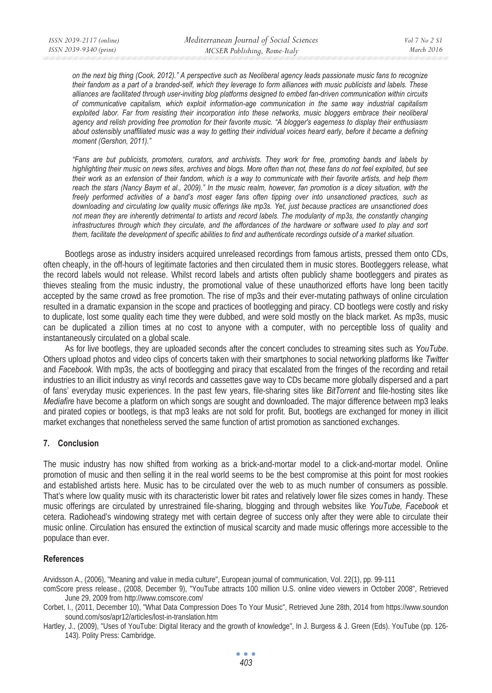*on the next big thing (Cook, 2012)." A perspective such as Neoliberal agency leads passionate music fans to recognize their fandom as a part of a branded-self, which they leverage to form alliances with music publicists and labels. These alliances are facilitated through user-inviting blog platforms designed to embed fan-driven communication within circuits of communicative capitalism, which exploit information-age communication in the same way industrial capitalism exploited labor. Far from resisting their incorporation into these networks, music bloggers embrace their neoliberal agency and relish providing free promotion for their favorite music. "A blogger's eagerness to display their enthusiasm about ostensibly unaffiliated music was a way to getting their individual voices heard early, before it became a defining moment (Gershon, 2011)."* 

*"Fans are but publicists, promoters, curators, and archivists. They work for free, promoting bands and labels by highlighting their music on news sites, archives and blogs. More often than not, these fans do not feel exploited, but see their work as an extension of their fandom, which is a way to communicate with their favorite artists, and help them reach the stars (Nancy Baym et al., 2009)." In the music realm, however, fan promotion is a dicey situation, with the freely performed activities of a band's most eager fans often tipping over into unsanctioned practices, such as downloading and circulating low quality music offerings like mp3s. Yet, just because practices are unsanctioned does not mean they are inherently detrimental to artists and record labels. The modularity of mp3s, the constantly changing*  infrastructures through which they circulate, and the affordances of the hardware or software used to play and sort *them, facilitate the development of specific abilities to find and authenticate recordings outside of a market situation.* 

Bootlegs arose as industry insiders acquired unreleased recordings from famous artists, pressed them onto CDs, often cheaply, in the off-hours of legitimate factories and then circulated them in music stores. Bootleggers release, what the record labels would not release. Whilst record labels and artists often publicly shame bootleggers and pirates as thieves stealing from the music industry, the promotional value of these unauthorized efforts have long been tacitly accepted by the same crowd as free promotion. The rise of mp3s and their ever-mutating pathways of online circulation resulted in a dramatic expansion in the scope and practices of bootlegging and piracy. CD bootlegs were costly and risky to duplicate, lost some quality each time they were dubbed, and were sold mostly on the black market. As mp3s, music can be duplicated a zillion times at no cost to anyone with a computer, with no perceptible loss of quality and instantaneously circulated on a global scale.

As for live bootlegs, they are uploaded seconds after the concert concludes to streaming sites such as *YouTube*. Others upload photos and video clips of concerts taken with their smartphones to social networking platforms like *Twitter* and *Facebook*. With mp3s, the acts of bootlegging and piracy that escalated from the fringes of the recording and retail industries to an illicit industry as vinyl records and cassettes gave way to CDs became more globally dispersed and a part of fans' everyday music experiences. In the past few years, file-sharing sites like *BitTorrent* and file-hosting sites like *Mediafire* have become a platform on which songs are sought and downloaded. The major difference between mp3 leaks and pirated copies or bootlegs, is that mp3 leaks are not sold for profit. But, bootlegs are exchanged for money in illicit market exchanges that nonetheless served the same function of artist promotion as sanctioned exchanges.

### **7. Conclusion**

The music industry has now shifted from working as a brick-and-mortar model to a click-and-mortar model. Online promotion of music and then selling it in the real world seems to be the best compromise at this point for most rookies and established artists here. Music has to be circulated over the web to as much number of consumers as possible. That's where low quality music with its characteristic lower bit rates and relatively lower file sizes comes in handy. These music offerings are circulated by unrestrained file-sharing, blogging and through websites like *YouTube, Facebook* et cetera. Radiohead's windowing strategy met with certain degree of success only after they were able to circulate their music online. Circulation has ensured the extinction of musical scarcity and made music offerings more accessible to the populace than ever.

### **References**

Arvidsson A., (2006), "Meaning and value in media culture", European journal of communication, Vol. 22(1), pp. 99-111

comScore press release., (2008, December 9), "YouTube attracts 100 million U.S. online video viewers in October 2008", Retrieved June 29, 2009 from http://www.comscore.com/

Corbet, I., (2011, December 10), "What Data Compression Does To Your Music", Retrieved June 28th, 2014 from https://www.soundon sound.com/sos/apr12/articles/lost-in-translation.htm

Hartley, J., (2009), "Uses of YouTube: Digital literacy and the growth of knowledge", In J. Burgess & J. Green (Eds). YouTube (pp. 126- 143). Polity Press: Cambridge.